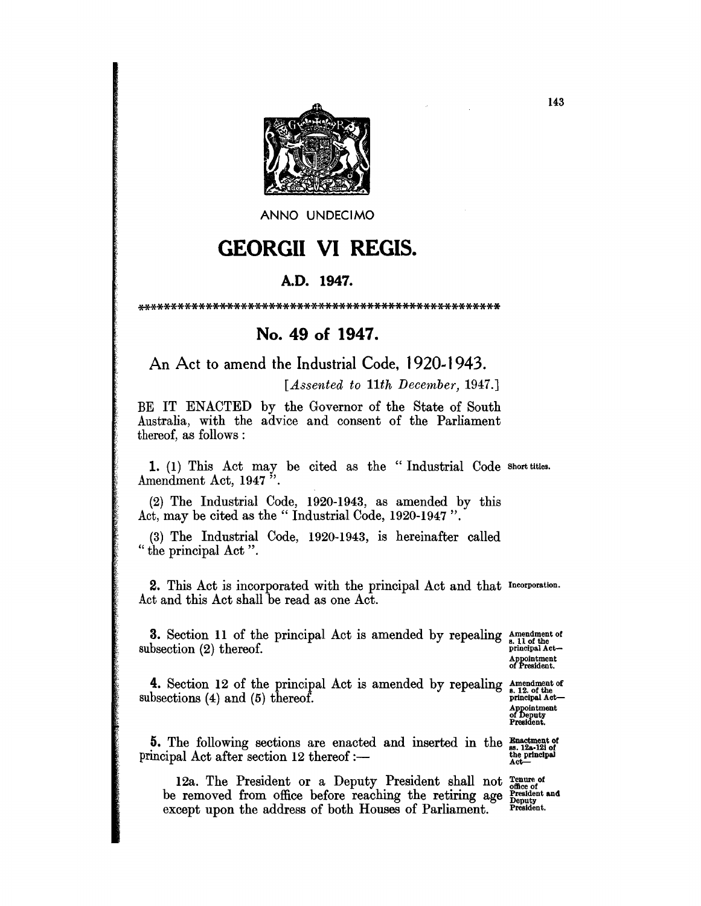

ANNO UNDECIMO

## **GEORGII VI REGIS.**

## A.D. 1947.

## No. 49 of 1947.

An Act to amend the Industrial Code, 1920-1943.

[Assented to 11th December, 1947.]

BE IT ENACTED by the Governor of the State of South Australia, with the advice and consent of the Parliament thereof, as follows:

1. (1) This Act may be cited as the "Industrial Code short titles. Amendment Act, 1947".

(2) The Industrial Code, 1920-1943, as amended by this Act. may be cited as the "Industrial Code, 1920-1947".

(3) The Industrial Code, 1920-1943, is hereinafter called "the principal Act".

2. This Act is incorporated with the principal Act and that Incorporation. Act and this Act shall be read as one Act.

**3.** Section 11 of the principal Act is amended by repealing  $\frac{1}{s}$  all of the phereof. subsection  $(2)$  thereof.

Appointment<br>of President.

4. Section 12 of the principal Act is amended by repealing  $\frac{\text{Amendment of}}{\text{phon} \cdot \text{a.12. of the principal Act}}$ subsections  $(4)$  and  $(5)$  thereof.

Appointment<br>of Deputy<br>President.

5. The following sections are enacted and inserted in the  $\frac{Enactment of}{shc}$  incipal Act after section 12 thereof :-principal Act after section 12 thereof :-

12a. The President or a Deputy President shall not renue of office of<br>President and<br>Deputy be removed from office before reaching the retiring age except upon the address of both Houses of Parliament. President.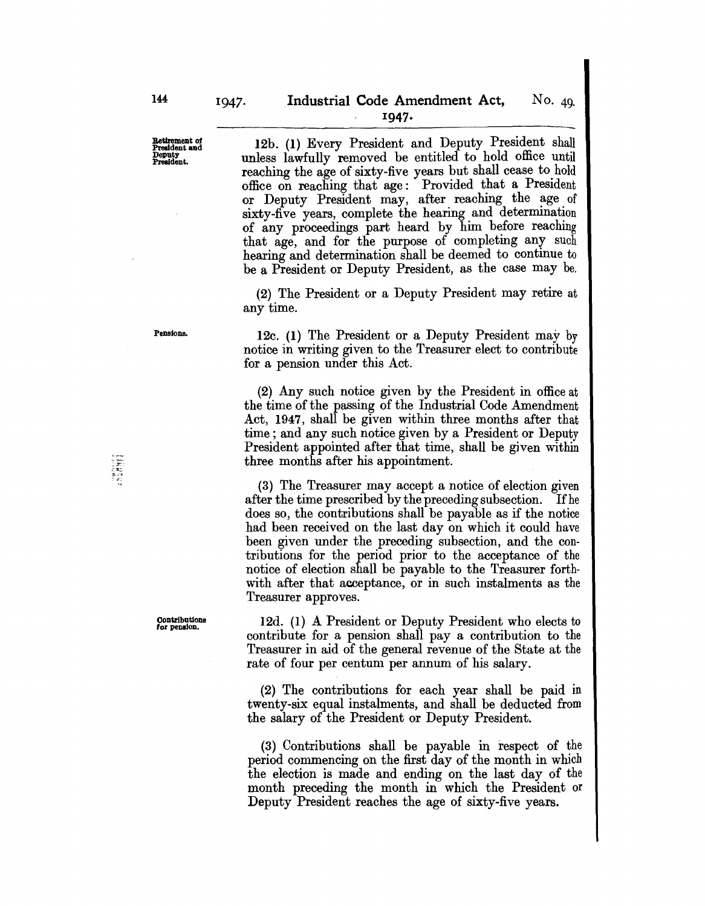Retirement of Pre8ldentand Deputy Pre8ldent.

12b. (1) Every President and Deputy President shall unless lawfully removed be entitled to hold office until reaching the age of sixty-five years but shall cease to hold office on reaching that age: Provided that a President or Deputy President may, after reaching the age of sixty-five years, complete the hearing and determination of any proceedings part heard by him before reaching that age, and for the purpose of completing any such hearing and determination shall be deemed to continue to be a President or Deputy President, as the case may be.

(2) The President or a Deputy President may retire at any time.

## Pensions.

Contributions 'or pension.

12c. (1) The President or a Deputy President may by notice in writing given to the Treasurer elect to contribute for a pension under this Act.

(2) Any such notice given by the President in office at the time of the passing of the Industrial Code Amendment Act, 1947, shall be given within three months after that time; and any such notice given by a President or Deputy President appointed after that time, shall be given within three months after his appointment.

(3) The Treasurer may accept a notice of election given after the time prescribed by the preceding subsection. If he does so, the contributions shall be payable as if the notice had been received on the last day on which it could have been given under the preceding subsection, and the contributions for the period prior to the acceptance of the notice of election shall be payable to the Treasurer forthwith after that acceptance, or in such instalments as the Treasurer approves.

12d. (1) A President or Deputy President who elects to contribute for a pension shall pay a contribution to the Treasurer in aid of the general revenue of the State at the rate of four per centum per annum of his salary.

(2) The contributions for each year shall be paid in twenty-six equal instalments, and shall be deducted from the salary of the President or Deputy President.

(3) Contributions shall be payable in respect of the period commencing on the first day of the month in which the election is made and ending on the last day of the month preceding the month in which the President or Deputy President reaches the age of sixty-five years.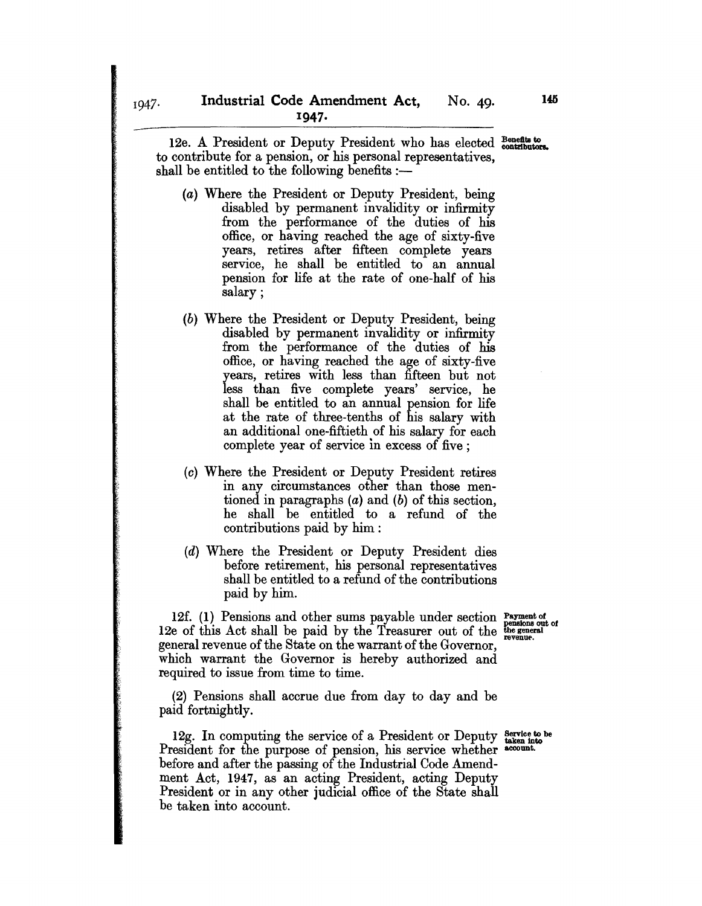12e. A President or Deputy President who has elected Benefits to to contribute for a pension, or his personal representatives, shall be entitled to the following benefits  $:$ 

- (a) Where the President or Deputy President, being disabled by permanent invalidity or infirmity from the performance of the duties of his office, or having reached the age of sixty-five years, retires after fifteen complete years service, he shall be entitled to an annual pension for life at the rate of one-half of his salary;
- (b) Where the President or Deputy President, being disabled by permanent invalidity or infirmity from the performance of the duties of his office, or having reached the age of sixty-five years, retires with less than fifteen but not less than five complete years' service, he shall be entitled to an annual pension for life at the rate of three-tenths of his salary with an additional one-fiftieth of his salary for each complete year of service in excess of five ;
- (c) Where the President or Deputy President retires in any circumstances other than those mentioned in paragraphs (a) and (b) of this section, he shall be entitled to a refund of the contributions paid by him :
- (d) Where the President or Deputy President dies before retirement, his personal representatives shall be entitled to a refund of the contributions paid by him.

12f. (1) Pensions and other sums payable under section  $\frac{Payment}{Temperature}$ 12e of this Act shall be paid by the Treasurer out of the  $\frac{t}{\text{regenerate}}$ general revenue of the State on the warrant of the Governor, which warrant the Governor is hereby authorized and required to issue from time to time.

(2) Pensions shall accrue due from day to day and be paid fortnightly.

12g. In computing the service of a President or Deputy  $\frac{\text{Service to be}}{\text{taken into}}$ President for the purpose of pension, his service whether account. before and after the passing of the Industrial Code Amendment Act, 1947, as an acting President, acting Deputy President or in any other judicial office of the State shall be taken into account.